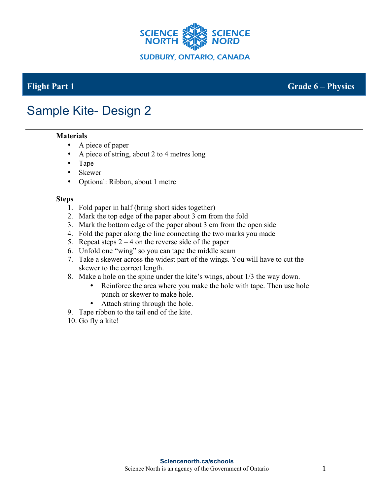

### **Flight Part 1 Grade 6 – Physics**

# Sample Kite- Design 2

#### **Materials**

- A piece of paper
- A piece of string, about 2 to 4 metres long
- Tape
- Skewer
- Optional: Ribbon, about 1 metre

#### **Steps**

- 1. Fold paper in half (bring short sides together)
- 2. Mark the top edge of the paper about 3 cm from the fold
- 3. Mark the bottom edge of the paper about 3 cm from the open side
- 4. Fold the paper along the line connecting the two marks you made
- 5. Repeat steps  $2 4$  on the reverse side of the paper
- 6. Unfold one "wing" so you can tape the middle seam
- 7. Take a skewer across the widest part of the wings. You will have to cut the skewer to the correct length.
- 8. Make a hole on the spine under the kite's wings, about 1/3 the way down.
	- Reinforce the area where you make the hole with tape. Then use hole punch or skewer to make hole.
	- Attach string through the hole.
- 9. Tape ribbon to the tail end of the kite.
- 10. Go fly a kite!